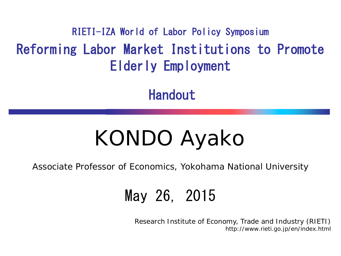Reforming Labor Market Institutions to Promote Elderly Employment RIETI-IZA World of Labor Policy Symposium

Handout

# KONDO Ayako

Associate Professor of Economics, Yokohama National University

#### May 26, 2015

Research Institute of Economy, Trade and Industry (RIETI) http://www.rieti.go.jp/en/index.html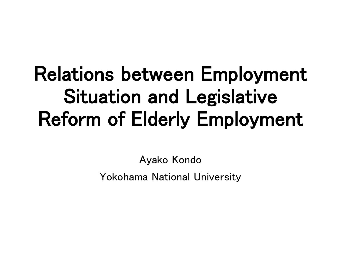## Relations between Employment Situation and Legislative Reform of Elderly Employment

Ayako Kondo Yokohama National University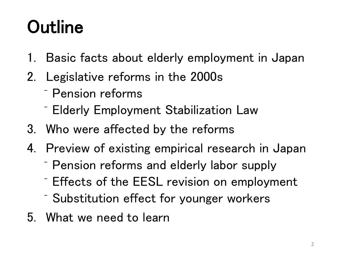## **Outline**

- 1. Basic facts about elderly employment in Japan
- 2. Legislative reforms in the 2000s
	- ⁻ Pension reforms
	- ⁻ Elderly Employment Stabilization Law
- 3. Who were affected by the reforms
- 4. Preview of existing empirical research in Japan
	- ⁻ Pension reforms and elderly labor supply
	- ⁻ Effects of the EESL revision on employment
	- ⁻ Substitution effect for younger workers
- 5. What we need to learn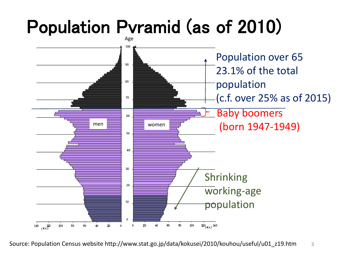## Population Pyramid (as of 2010)



Source: Population Census website http://www.stat.go.jp/data/kokusei/2010/kouhou/useful/u01\_z19.htm 3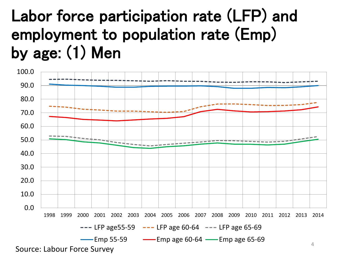### Labor force participation rate (LFP) and employment to population rate (Emp) by age: (1) Men

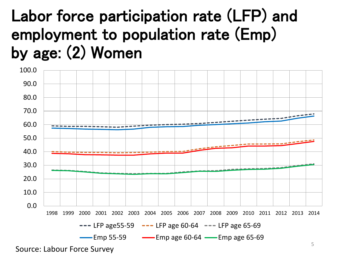### Labor force participation rate (LFP) and employment to population rate (Emp) by age: (2) Women



Source: Labour Force Survey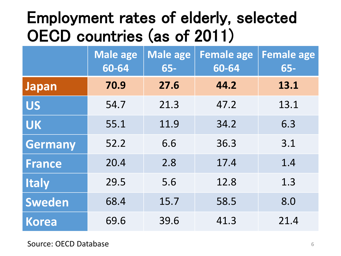#### Employment rates of elderly, selected OECD countries (as of 2011)

|                | <b>Male age</b><br>60-64 | Male age<br>$65-$ | <b>Female age</b><br>60-64 | <b>Female age</b><br>$65-$ |
|----------------|--------------------------|-------------------|----------------------------|----------------------------|
| <b>Japan</b>   | 70.9                     | 27.6              | 44.2                       | 13.1                       |
| <b>US</b>      | 54.7                     | 21.3              | 47.2                       | 13.1                       |
| <b>UK</b>      | 55.1                     | 11.9              | 34.2                       | 6.3                        |
| <b>Germany</b> | 52.2                     | 6.6               | 36.3                       | 3.1                        |
| <b>France</b>  | 20.4                     | 2.8               | 17.4                       | 1.4                        |
| <b>Italy</b>   | 29.5                     | 5.6               | 12.8                       | 1.3                        |
| Sweden         | 68.4                     | 15.7              | 58.5                       | 8.0                        |
| <b>Korea</b>   | 69.6                     | 39.6              | 41.3                       | 21.4                       |

Source: OECD Database 6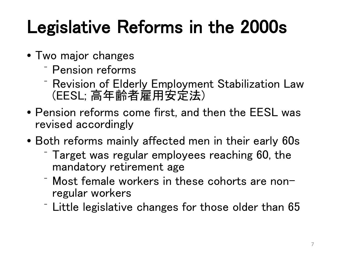## Legislative Reforms in the 2000s

- Two major changes
	- ⁻ Pension reforms
	- ⁻ Revision of Elderly Employment Stabilization Law (EESL; 高年齢者雇用安定法)
- Pension reforms come first, and then the EESL was revised accordingly
- Both reforms mainly affected men in their early 60s
	- ⁻ Target was regular employees reaching 60, the mandatory retirement age
	- Most female workers in these cohorts are non-<br>regular workers
	- $\overline{\phantom{a}}$  Little legislative changes for those older than 65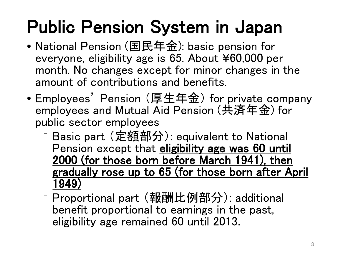## Public Pension System in Japan

- National Pension (国民年金): basic pension for everyone, eligibility age is 65. About ¥60,000 per month. No changes except for minor changes in the amount of contributions and benefits.
- Employees' Pension (厚生年金) for private company employees and Mutual Aid Pension (共済年金) for public sector employees
	- ⁻ Basic part (定額部分): equivalent to National Pension except that eligibility age was 60 until 2000 (for those born before March 1941), then gradually rose up to 65 (for those born after April 1949)
	- ⁻ Proportional part (報酬比例部分): additional benefit proportional to earnings in the past, eligibility age remained 60 until 2013.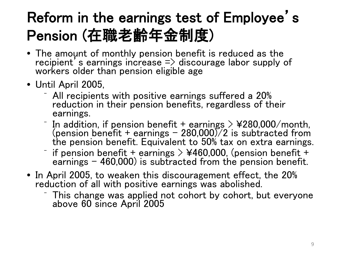#### Reform in the earnings test of Employee's Pension (在職老齢年金制度)

- The amount of monthly pension benefit is reduced as the recipient's earnings increase  $\Rightarrow$  discourage labor supply of workers older than pension eligible age
- Until April 2005,
	- ⁻ All recipients with positive earnings suffered a 20% reduction in their pension benefits, regardless of their earnings.
	- $\overline{\phantom{a}}$  In addition, if pension benefit + earnings  $>$  ¥280,000/month, (pension benefit + earnings 280,000)/2 is subtracted from the pension benefit. Equivalent to 50% tax on extra earnings.
	- $\overline{\phantom{a}}$  if pension benefit + earnings > ¥460,000, (pension benefit + earnings  $-$  460,000) is subtracted from the pension benefit.
- In April 2005, to weaken this discouragement effect, the 20% reduction of all with positive earnings was abolished.
	- This change was applied not cohort by cohort, but everyone above 60 since April 2005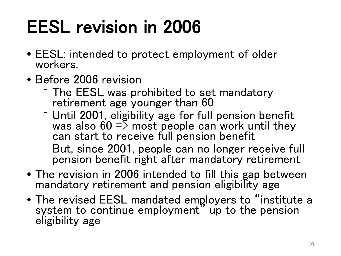## EESL revision in 2006

- EESL: intended to protect employment of older workers.
- Before 2006 revision
	- ⁻ The EESL was prohibited to set mandatory retirement age younger than 60
	- ⁻ Until 2001, eligibility age for full pension benefit was also  $60 \Rightarrow$  most people can work until they can start to receive full pension benefit
	- But, since 2001, people can no longer receive full pension benefit right after mandatory retirement
- The revision in 2006 intended to fill this gap between mandatory retirement and pension eligibility age
- The revised EESL mandated employers to "institute a system to continue employment" up to the pension eligibility age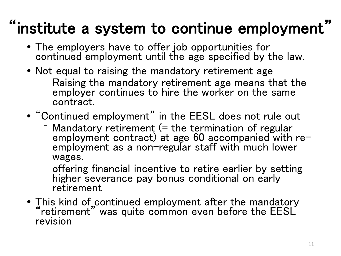### "institute a system to continue employment"

- The employers have to <u>offer</u> job opportunities for continued employment until the age specified by the law.
- Not equal to raising the mandatory retirement age
	- ⁻ Raising the mandatory retirement age means that the employer continues to hire the worker on the same contract.
- "Continued employment" in the EESL does not rule out
	- Mandatory retirement (= the termination of regular employment contract) at age 60 accompanied with re- employment as a non-regular staff with much lower wages.
	- ⁻ offering financial incentive to retire earlier by setting higher severance pay bonus conditional on early retirement
- This kind of continued employment after the mandatory "retirement" was quite common even before the EESL revision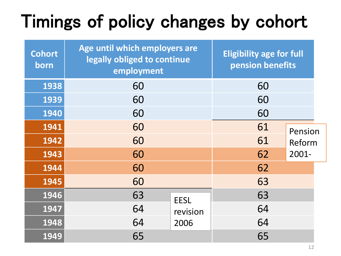## Timings of policy changes by cohort

| <b>Cohort</b><br>born | Age until which employers are<br>legally obliged to continue<br>employment | <b>Eligibility age for full</b><br>pension benefits |       |         |
|-----------------------|----------------------------------------------------------------------------|-----------------------------------------------------|-------|---------|
| 1938                  | 60                                                                         |                                                     | 60    |         |
| 1939                  | 60                                                                         | 60                                                  |       |         |
| 1940                  | 60                                                                         | 60                                                  |       |         |
| 1941                  | 60                                                                         |                                                     | 61    | Pension |
| 1942                  | 60                                                                         |                                                     | 61    | Reform  |
| 1943                  | 60                                                                         | 62                                                  | 2001- |         |
| 1944                  | 60                                                                         |                                                     | 62    |         |
| 1945                  | 60                                                                         |                                                     | 63    |         |
| 1946                  | 63                                                                         | <b>EESL</b>                                         | 63    |         |
| 1947                  | 64                                                                         | revision                                            | 64    |         |
| 1948                  | 64                                                                         | 2006                                                | 64    |         |
| 1949                  | 65                                                                         |                                                     | 65    |         |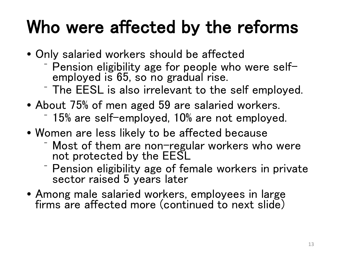### Who were affected by the reforms

- Only salaried workers should be affected
	- <sup>⁻</sup> Pension eligibility age for people who were self- employed is 65, so no gradual rise.
	- ⁻ The EESL is also irrelevant to the self employed.
- About 75% of men aged 59 are salaried workers.
	- ⁻ 15% are self-employed, 10% are not employed.
- Women are less likely to be affected because
	- ⁻ Most of them are non-regular workers who were not protected by the EESL
	- ⁻ Pension eligibility age of female workers in private sector raised 5 years later
- Among male salaried workers, employees in large firms are affected more (continued to next slide)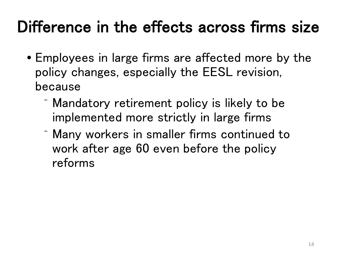### Difference in the effects across firms size

- Employees in large firms are affected more by the policy changes, especially the EESL revision, because
	- ⁻ Mandatory retirement policy is likely to be implemented more strictly in large firms
	- ⁻ Many workers in smaller firms continued to work after age 60 even before the policy reforms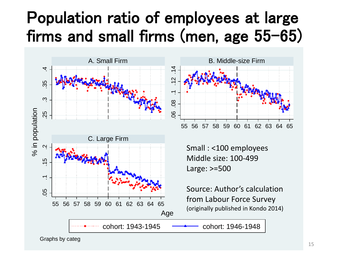#### Population ratio of employees at large firms and small firms (men, age 55-65)





Small : <100 employees Middle size: 100-499 Large: >=500

Source: Author's calculation from Labour Force Survey (originally published in Kondo 2014)

Graphs by categ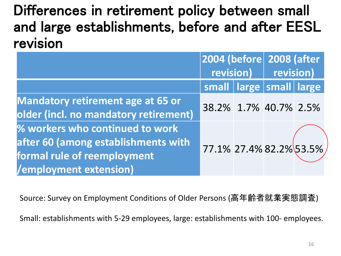Differences in retirement policy between small and large establishments, before and after EESL revision

|                                                                                                                                 | 2004 (before 2008 (after |  | revision) revision)           |  |
|---------------------------------------------------------------------------------------------------------------------------------|--------------------------|--|-------------------------------|--|
|                                                                                                                                 |                          |  |                               |  |
|                                                                                                                                 |                          |  | small   large   small   large |  |
| <b>Mandatory retirement age at 65 or</b><br>older (incl. no mandatory retirement)                                               | 38.2% 1.7% 40.7% 2.5%    |  |                               |  |
| % workers who continued to work<br>after 60 (among establishments with<br>formal rule of reemployment<br>/employment extension) | 77.1% 27.4% 82.2% 53.5%  |  |                               |  |

Source: Survey on Employment Conditions of Older Persons (高年齢者就業実態調査)

Small: establishments with 5-29 employees, large: establishments with 100- employees.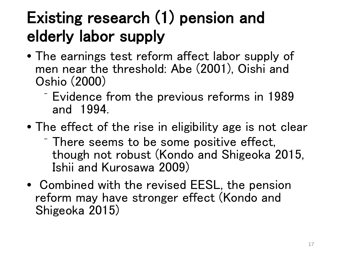### Existing research (1) pension and elderly labor supply

- The earnings test reform affect labor supply of men near the threshold: Abe (2001), Oishi and Oshio (2000)
	- ⁻ Evidence from the previous reforms in 1989 and 1994.
- The effect of the rise in eligibility age is not clear
	- ⁻ There seems to be some positive effect, though not robust (Kondo and Shigeoka 2015, Ishii and Kurosawa 2009)
- Combined with the revised EESL, the pension reform may have stronger effect (Kondo and Shigeoka 2015)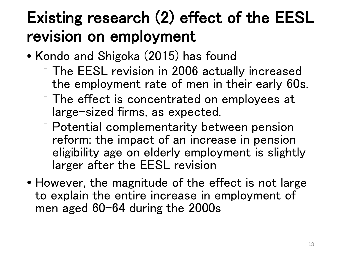### Existing research (2) effect of the EESL revision on employment

- Kondo and Shigoka (2015) has found
	- ⁻ The EESL revision in 2006 actually increased the employment rate of men in their early 60s.
	- ⁻ The effect is concentrated on employees at large-sized firms, as expected.
	- ⁻ Potential complementarity between pension reform: the impact of an increase in pension eligibility age on elderly employment is slightly larger after the EESL revision
- However, the magnitude of the effect is not large to explain the entire increase in employment of men aged 60-64 during the 2000s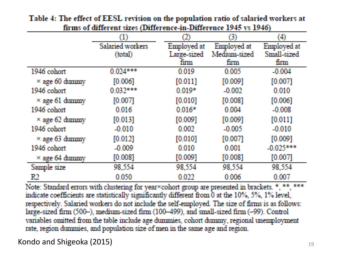|                       | (1)              | 2)          | Ø)           | $\scriptstyle{(4)}$ |
|-----------------------|------------------|-------------|--------------|---------------------|
|                       | Salaried workers | Employed at | Employed at  | Employed at         |
|                       | (total)          | Large-sized | Medium sized | Small-sized         |
|                       |                  | firm        | firm         | finn                |
| 1946 cohort           | $0.024***$       | 0.019       | 0.005        | $-0.004$            |
| $\times$ age 60 dummy | [0.006]          | [0.011]     | [0.009]      | [0.007]             |
| 1946 cohort           | $0.032***$       | $0.019*$    | $-0.002$     | 0.010               |
| $\times$ age 61 dummy | [0.007]          | [0.010]     | [0.008]      | [0.006]             |
| 1946 cohort           | 0.016            | $0.016*$    | 0.004        | $-0.008$            |
| $\times$ age 62 dummy | [0.013]          | [0.009]     | [0.009]      | [0.011]             |
| 1946 cohort           | $-0.010$         | 0.002       | $-0.005$     | $-0.010$            |
| $\times$ age 63 dummy | [0.012]          | [0.010]     | [0.007]      | [0.009]             |
| 1946 cohort           | $-0.009$         | 0.010       | 0.001        | $-0.025***$         |
| $\times$ age 64 dummy | [0.008]          | [0.009]     | [0.008]      | [0.007]             |
| Sample size           | 98,554           | 98,554      | 98,554       | 98,554              |
| R2                    | 0.050            | 0.022       | 0.006        | 0.007               |

Table 4: The effect of EESL revision on the population ratio of salaried workers at firms of different sizes (Difference-in-Difference 1945 vs 1946)

Note: Standard errors with clustering for year×cohort group are presented in brackets. \*, \*\*, \*\*\* indicate coefficients are statistically significantly different from 0 at the 10%, 5%, 1% level, respectively. Salaried workers do not include the self-employed. The size of firms is as follows: large-sized firm (500-), medium-sized firm (100-499), and small-sized firm (-99). Control variables omitted from the table include age dummies, cohort dummy, regional unemployment rate, region dummies, and population size of men in the same age and region.

Kondo and Shigeoka (2015)  $19$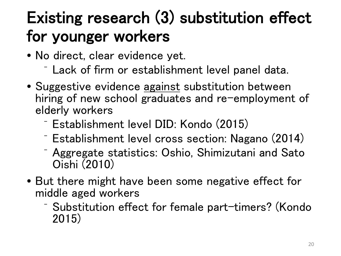### Existing research (3) substitution effect for younger workers

- No direct, clear evidence yet.
	- ⁻ Lack of firm or establishment level panel data.
- Suggestive evidence against substitution between hiring of new school graduates and re-employment of elderly workers
	- ⁻ Establishment level DID: Kondo (2015)
	- ⁻ Establishment level cross section: Nagano (2014)
	- ⁻ Aggregate statistics: Oshio, Shimizutani and Sato Oishi (2010)
- But there might have been some negative effect for middle aged workers
	- ⁻ Substitution effect for female part-timers? (Kondo 2015)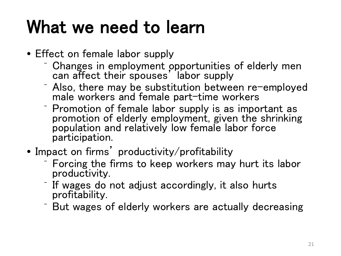### What we need to learn

- Effect on female labor supply
	- Changes in employment opportunities of elderly men can affect their spouses' labor supply
	- $\overline{\phantom{a}}$  Also, there may be substitution between re-employed male workers and female part-time workers
	- ⁻ Promotion of female labor supply is as important as promotion of elderly employment, given the shrinking population and relatively low female labor force participation.
- Impact on firms' productivity/profitability
	- ⁻ Forcing the firms to keep workers may hurt its labor productivity.
	- ⁻ If wages do not adjust accordingly, it also hurts profitability.
	- ⁻ But wages of elderly workers are actually decreasing